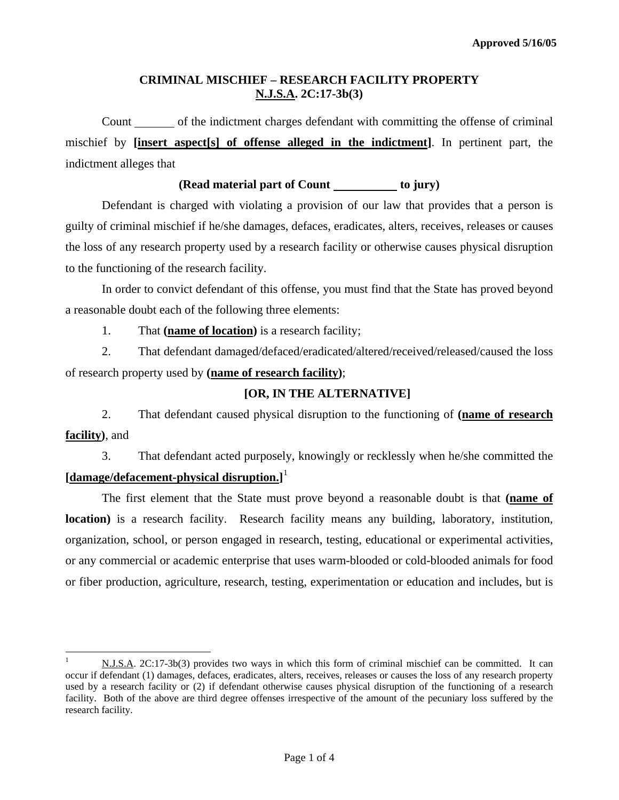## **CRIMINAL MISCHIEF – RESEARCH FACILITY PROPERTY N.J.S.A. 2C:17-3b(3)**

Count of the indictment charges defendant with committing the offense of criminal mischief by **[insert aspect[s] of offense alleged in the indictment]**. In pertinent part, the indictment alleges that

### **(Read material part of Count to jury)**

Defendant is charged with violating a provision of our law that provides that a person is guilty of criminal mischief if he/she damages, defaces, eradicates, alters, receives, releases or causes the loss of any research property used by a research facility or otherwise causes physical disruption to the functioning of the research facility.

In order to convict defendant of this offense, you must find that the State has proved beyond a reasonable doubt each of the following three elements:

1. That **(name of location)** is a research facility;

 $\overline{a}$ 

2. That defendant damaged/defaced/eradicated/altered/received/released/caused the loss of research property used by **(name of research facility)**;

#### **[OR, IN THE ALTERNATIVE]**

2. That defendant caused physical disruption to the functioning of **(name of research facility)**, and

3. That defendant acted purposely, knowingly or recklessly when he/she committed the **[damage/defacement-physical disruption.]** [1](#page-0-0)

The first element that the State must prove beyond a reasonable doubt is that **(name of location)** is a research facility. Research facility means any building, laboratory, institution, organization, school, or person engaged in research, testing, educational or experimental activities, or any commercial or academic enterprise that uses warm-blooded or cold-blooded animals for food or fiber production, agriculture, research, testing, experimentation or education and includes, but is

<span id="page-0-0"></span><sup>1</sup> N.J.S.A. 2C:17-3b(3) provides two ways in which this form of criminal mischief can be committed. It can occur if defendant (1) damages, defaces, eradicates, alters, receives, releases or causes the loss of any research property used by a research facility or (2) if defendant otherwise causes physical disruption of the functioning of a research facility. Both of the above are third degree offenses irrespective of the amount of the pecuniary loss suffered by the research facility.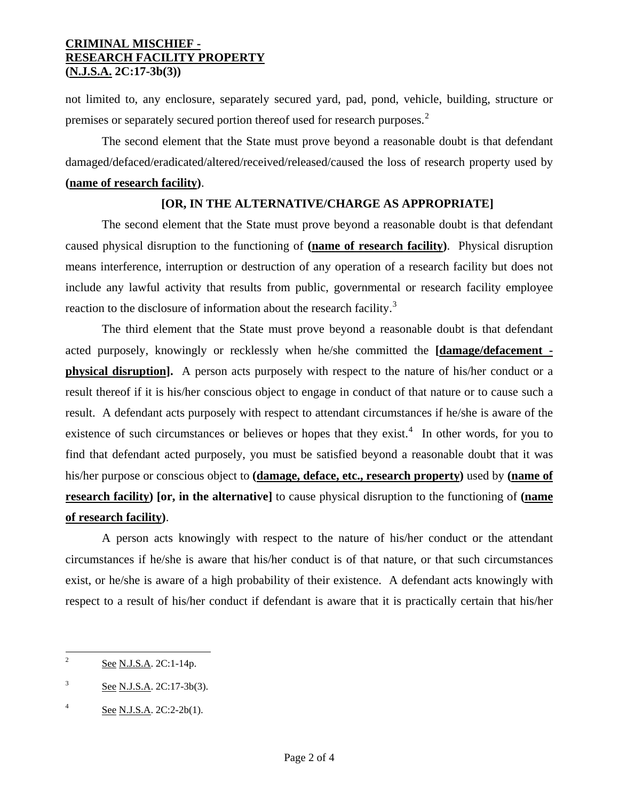## **CRIMINAL MISCHIEF - RESEARCH FACILITY PROPERTY (N.J.S.A. 2C:17-3b(3))**

not limited to, any enclosure, separately secured yard, pad, pond, vehicle, building, structure or premises or separately secured portion thereof used for research purposes.<sup>[2](#page-0-0)</sup>

The second element that the State must prove beyond a reasonable doubt is that defendant damaged/defaced/eradicated/altered/received/released/caused the loss of research property used by

# **(name of research facility)**.

# **[OR, IN THE ALTERNATIVE/CHARGE AS APPROPRIATE]**

The second element that the State must prove beyond a reasonable doubt is that defendant caused physical disruption to the functioning of **(name of research facility)**. Physical disruption means interference, interruption or destruction of any operation of a research facility but does not include any lawful activity that results from public, governmental or research facility employee reaction to the disclosure of information about the research facility.<sup>[3](#page-1-0)</sup>

 The third element that the State must prove beyond a reasonable doubt is that defendant acted purposely, knowingly or recklessly when he/she committed the **[damage/defacement physical disruption**]. A person acts purposely with respect to the nature of his/her conduct or a result thereof if it is his/her conscious object to engage in conduct of that nature or to cause such a result. A defendant acts purposely with respect to attendant circumstances if he/she is aware of the existence of such circumstances or believes or hopes that they exist. $4\,$  $4\,$  In other words, for you to find that defendant acted purposely, you must be satisfied beyond a reasonable doubt that it was his/her purpose or conscious object to **(damage, deface, etc., research property)** used by **(name of research facility) [or, in the alternative]** to cause physical disruption to the functioning of **(name of research facility)**.

 A person acts knowingly with respect to the nature of his/her conduct or the attendant circumstances if he/she is aware that his/her conduct is of that nature, or that such circumstances exist, or he/she is aware of a high probability of their existence. A defendant acts knowingly with respect to a result of his/her conduct if defendant is aware that it is practically certain that his/her

 $\frac{1}{2}$ See N.J.S.A. 2C:1-14p.

<span id="page-1-0"></span><sup>3</sup> See N.J.S.A. 2C:17-3b(3).

<span id="page-1-1"></span><sup>4</sup> See N.J.S.A. 2C:2-2b(1).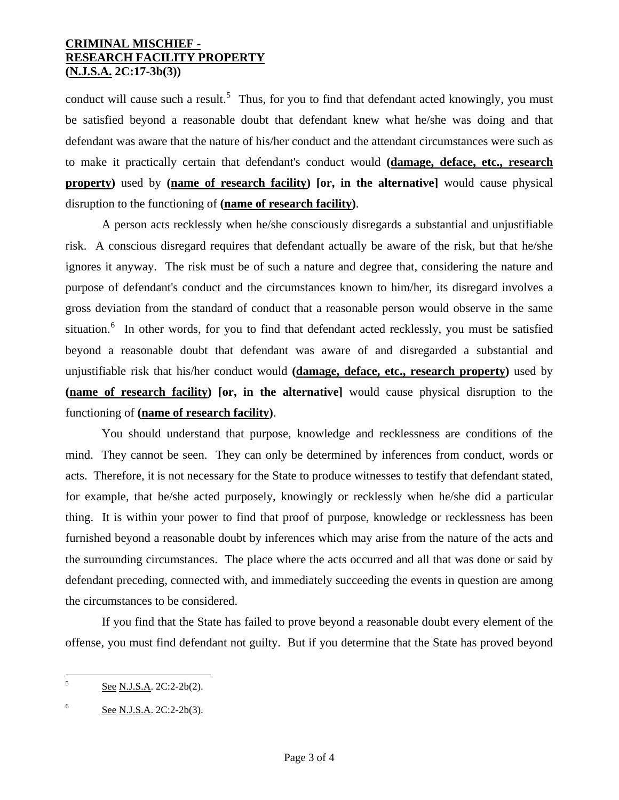## **CRIMINAL MISCHIEF - RESEARCH FACILITY PROPERTY (N.J.S.A. 2C:17-3b(3))**

conduct will cause such a result.<sup>[5](#page-1-0)</sup> Thus, for you to find that defendant acted knowingly, you must be satisfied beyond a reasonable doubt that defendant knew what he/she was doing and that defendant was aware that the nature of his/her conduct and the attendant circumstances were such as to make it practically certain that defendant's conduct would **(damage, deface, etc., research property)** used by **(name of research facility) [or, in the alternative]** would cause physical disruption to the functioning of **(name of research facility)**.

 A person acts recklessly when he/she consciously disregards a substantial and unjustifiable risk. A conscious disregard requires that defendant actually be aware of the risk, but that he/she ignores it anyway. The risk must be of such a nature and degree that, considering the nature and purpose of defendant's conduct and the circumstances known to him/her, its disregard involves a gross deviation from the standard of conduct that a reasonable person would observe in the same situation.<sup>[6](#page-2-0)</sup> In other words, for you to find that defendant acted recklessly, you must be satisfied beyond a reasonable doubt that defendant was aware of and disregarded a substantial and unjustifiable risk that his/her conduct would **(damage, deface, etc., research property)** used by **(name of research facility) [or, in the alternative]** would cause physical disruption to the functioning of **(name of research facility)**.

 You should understand that purpose, knowledge and recklessness are conditions of the mind. They cannot be seen. They can only be determined by inferences from conduct, words or acts. Therefore, it is not necessary for the State to produce witnesses to testify that defendant stated, for example, that he/she acted purposely, knowingly or recklessly when he/she did a particular thing. It is within your power to find that proof of purpose, knowledge or recklessness has been furnished beyond a reasonable doubt by inferences which may arise from the nature of the acts and the surrounding circumstances. The place where the acts occurred and all that was done or said by defendant preceding, connected with, and immediately succeeding the events in question are among the circumstances to be considered.

 If you find that the State has failed to prove beyond a reasonable doubt every element of the offense, you must find defendant not guilty. But if you determine that the State has proved beyond

 5 See N.J.S.A. 2C:2-2b(2).

<span id="page-2-0"></span><sup>6</sup> See N.J.S.A. 2C:2-2b(3).